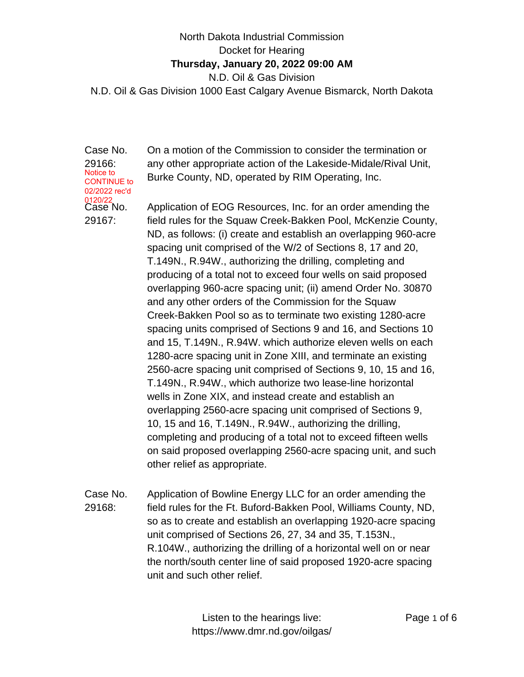## North Dakota Industrial Commission Docket for Hearing **Thursday, January 20, 2022 09:00 AM** N.D. Oil & Gas Division N.D. Oil & Gas Division 1000 East Calgary Avenue Bismarck, North Dakota

Case No. 29166: Case No. 29167: Notice to CONTINUE to 02/2022 rec'd 120/22

On a motion of the Commission to consider the termination or any other appropriate action of the Lakeside-Midale/Rival Unit, Burke County, ND, operated by RIM Operating, Inc.

Application of EOG Resources, Inc. for an order amending the field rules for the Squaw Creek-Bakken Pool, McKenzie County, ND, as follows: (i) create and establish an overlapping 960-acre spacing unit comprised of the W/2 of Sections 8, 17 and 20, T.149N., R.94W., authorizing the drilling, completing and producing of a total not to exceed four wells on said proposed overlapping 960-acre spacing unit; (ii) amend Order No. 30870 and any other orders of the Commission for the Squaw Creek-Bakken Pool so as to terminate two existing 1280-acre spacing units comprised of Sections 9 and 16, and Sections 10 and 15, T.149N., R.94W. which authorize eleven wells on each 1280-acre spacing unit in Zone XIII, and terminate an existing 2560-acre spacing unit comprised of Sections 9, 10, 15 and 16, T.149N., R.94W., which authorize two lease-line horizontal wells in Zone XIX, and instead create and establish an overlapping 2560-acre spacing unit comprised of Sections 9, 10, 15 and 16, T.149N., R.94W., authorizing the drilling, completing and producing of a total not to exceed fifteen wells on said proposed overlapping 2560-acre spacing unit, and such other relief as appropriate.

Case No. 29168: Application of Bowline Energy LLC for an order amending the field rules for the Ft. Buford-Bakken Pool, Williams County, ND, so as to create and establish an overlapping 1920-acre spacing unit comprised of Sections 26, 27, 34 and 35, T.153N., R.104W., authorizing the drilling of a horizontal well on or near the north/south center line of said proposed 1920-acre spacing unit and such other relief.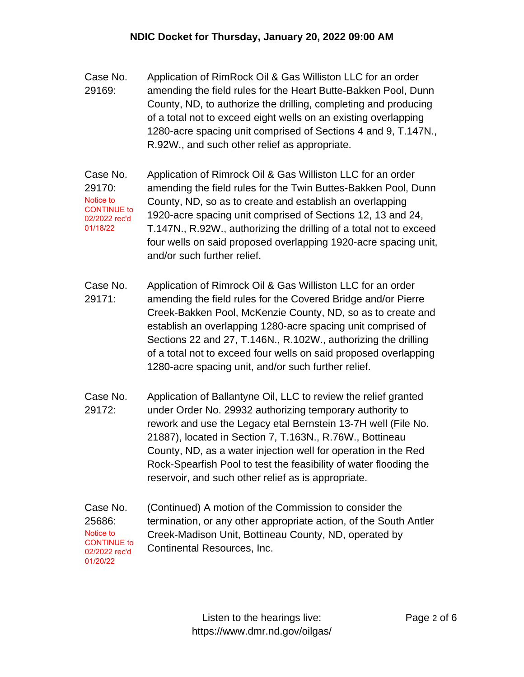- Case No. 29169: Application of RimRock Oil & Gas Williston LLC for an order amending the field rules for the Heart Butte-Bakken Pool, Dunn County, ND, to authorize the drilling, completing and producing of a total not to exceed eight wells on an existing overlapping 1280-acre spacing unit comprised of Sections 4 and 9, T.147N., R.92W., and such other relief as appropriate.
- Case No. 29170: Application of Rimrock Oil & Gas Williston LLC for an order amending the field rules for the Twin Buttes-Bakken Pool, Dunn County, ND, so as to create and establish an overlapping 1920-acre spacing unit comprised of Sections 12, 13 and 24, T.147N., R.92W., authorizing the drilling of a total not to exceed four wells on said proposed overlapping 1920-acre spacing unit, and/or such further relief. Notice to CONTINUE to 02/2022 rec'd 01/18/22
- Case No. 29171: Application of Rimrock Oil & Gas Williston LLC for an order amending the field rules for the Covered Bridge and/or Pierre Creek-Bakken Pool, McKenzie County, ND, so as to create and establish an overlapping 1280-acre spacing unit comprised of Sections 22 and 27, T.146N., R.102W., authorizing the drilling of a total not to exceed four wells on said proposed overlapping 1280-acre spacing unit, and/or such further relief.
- Case No. 29172: Application of Ballantyne Oil, LLC to review the relief granted under Order No. 29932 authorizing temporary authority to rework and use the Legacy etal Bernstein 13-7H well (File No. 21887), located in Section 7, T.163N., R.76W., Bottineau County, ND, as a water injection well for operation in the Red Rock-Spearfish Pool to test the feasibility of water flooding the reservoir, and such other relief as is appropriate.
- Case No. 25686: (Continued) A motion of the Commission to consider the termination, or any other appropriate action, of the South Antler Creek-Madison Unit, Bottineau County, ND, operated by Continental Resources, Inc. Notice to CONTINUE to 02/2022 rec'd 01/20/22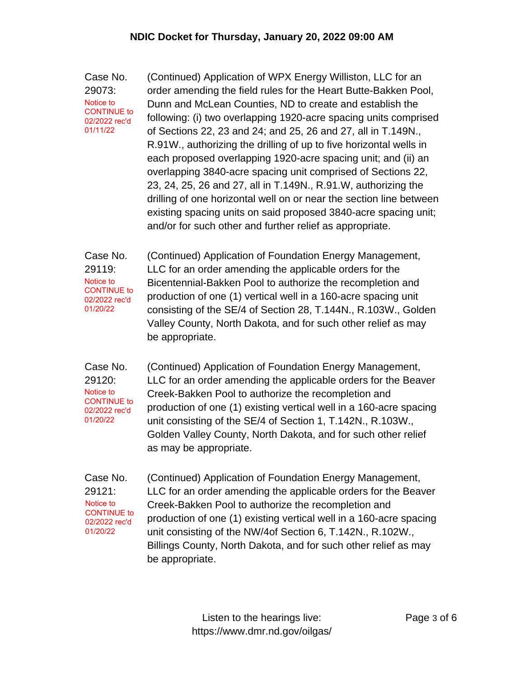Case No. 29073: (Continued) Application of WPX Energy Williston, LLC for an order amending the field rules for the Heart Butte-Bakken Pool, Dunn and McLean Counties, ND to create and establish the following: (i) two overlapping 1920-acre spacing units comprised of Sections 22, 23 and 24; and 25, 26 and 27, all in T.149N., R.91W., authorizing the drilling of up to five horizontal wells in each proposed overlapping 1920-acre spacing unit; and (ii) an overlapping 3840-acre spacing unit comprised of Sections 22, 23, 24, 25, 26 and 27, all in T.149N., R.91.W, authorizing the drilling of one horizontal well on or near the section line between existing spacing units on said proposed 3840-acre spacing unit; and/or for such other and further relief as appropriate. Notice to CONTINUE to 02/2022 rec'd 01/11/22

Case No. 29119: (Continued) Application of Foundation Energy Management, LLC for an order amending the applicable orders for the Bicentennial-Bakken Pool to authorize the recompletion and production of one (1) vertical well in a 160-acre spacing unit consisting of the SE/4 of Section 28, T.144N., R.103W., Golden Valley County, North Dakota, and for such other relief as may be appropriate. Notice to CONTINUE to 02/2022 rec'd 01/20/22

Case No. 29120: Notice to CONTINUE to 02/2022 rec'd 01/20/22

(Continued) Application of Foundation Energy Management, LLC for an order amending the applicable orders for the Beaver Creek-Bakken Pool to authorize the recompletion and production of one (1) existing vertical well in a 160-acre spacing unit consisting of the SE/4 of Section 1, T.142N., R.103W., Golden Valley County, North Dakota, and for such other relief as may be appropriate.

Case No. 29121: Notice to CONTINUE to 02/2022 rec'd 01/20/22

(Continued) Application of Foundation Energy Management, LLC for an order amending the applicable orders for the Beaver Creek-Bakken Pool to authorize the recompletion and production of one (1) existing vertical well in a 160-acre spacing unit consisting of the NW/4of Section 6, T.142N., R.102W., Billings County, North Dakota, and for such other relief as may be appropriate.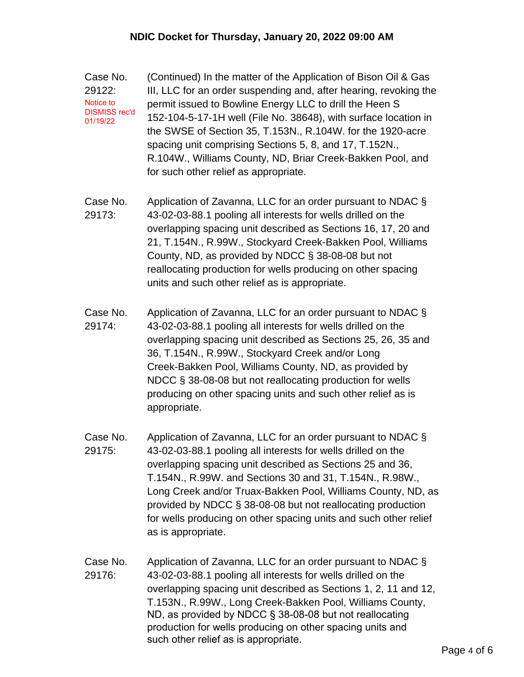Case No. 29122: (Continued) In the matter of the Application of Bison Oil & Gas III, LLC for an order suspending and, after hearing, revoking the permit issued to Bowline Energy LLC to drill the Heen S 152-104-5-17-1H well (File No. 38648), with surface location in the SWSE of Section 35, T.153N., R.104W. for the 1920-acre spacing unit comprising Sections 5, 8, and 17, T.152N., R.104W., Williams County, ND, Briar Creek-Bakken Pool, and for such other relief as appropriate. Notice to DISMISS rec'd 01/19/22

- Case No. 29173: Application of Zavanna, LLC for an order pursuant to NDAC § 43-02-03-88.1 pooling all interests for wells drilled on the overlapping spacing unit described as Sections 16, 17, 20 and 21, T.154N., R.99W., Stockyard Creek-Bakken Pool, Williams County, ND, as provided by NDCC § 38-08-08 but not reallocating production for wells producing on other spacing units and such other relief as is appropriate.
- Case No. 29174: Application of Zavanna, LLC for an order pursuant to NDAC § 43-02-03-88.1 pooling all interests for wells drilled on the overlapping spacing unit described as Sections 25, 26, 35 and 36, T.154N., R.99W., Stockyard Creek and/or Long Creek-Bakken Pool, Williams County, ND, as provided by NDCC § 38-08-08 but not reallocating production for wells producing on other spacing units and such other relief as is appropriate.
- Case No. 29175: Application of Zavanna, LLC for an order pursuant to NDAC § 43-02-03-88.1 pooling all interests for wells drilled on the overlapping spacing unit described as Sections 25 and 36, T.154N., R.99W. and Sections 30 and 31, T.154N., R.98W., Long Creek and/or Truax-Bakken Pool, Williams County, ND, as provided by NDCC § 38-08-08 but not reallocating production for wells producing on other spacing units and such other relief as is appropriate.
- Case No. 29176: Application of Zavanna, LLC for an order pursuant to NDAC § 43-02-03-88.1 pooling all interests for wells drilled on the overlapping spacing unit described as Sections 1, 2, 11 and 12, T.153N., R.99W., Long Creek-Bakken Pool, Williams County, ND, as provided by NDCC § 38-08-08 but not reallocating production for wells producing on other spacing units and such other relief as is appropriate.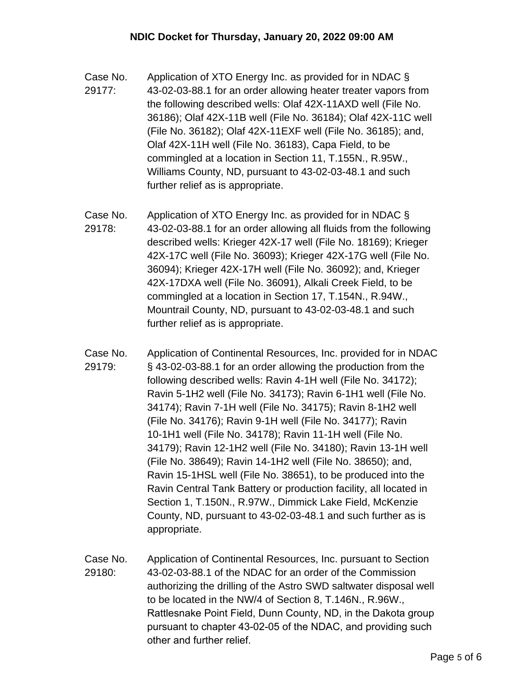- Case No. 29177: Application of XTO Energy Inc. as provided for in NDAC § 43-02-03-88.1 for an order allowing heater treater vapors from the following described wells: Olaf 42X-11AXD well (File No. 36186); Olaf 42X-11B well (File No. 36184); Olaf 42X-11C well (File No. 36182); Olaf 42X-11EXF well (File No. 36185); and, Olaf 42X-11H well (File No. 36183), Capa Field, to be commingled at a location in Section 11, T.155N., R.95W., Williams County, ND, pursuant to 43-02-03-48.1 and such further relief as is appropriate.
- Case No. 29178: Application of XTO Energy Inc. as provided for in NDAC § 43-02-03-88.1 for an order allowing all fluids from the following described wells: Krieger 42X-17 well (File No. 18169); Krieger 42X-17C well (File No. 36093); Krieger 42X-17G well (File No. 36094); Krieger 42X-17H well (File No. 36092); and, Krieger 42X-17DXA well (File No. 36091), Alkali Creek Field, to be commingled at a location in Section 17, T.154N., R.94W., Mountrail County, ND, pursuant to 43-02-03-48.1 and such further relief as is appropriate.
- Case No. 29179: Application of Continental Resources, Inc. provided for in NDAC § 43-02-03-88.1 for an order allowing the production from the following described wells: Ravin 4-1H well (File No. 34172); Ravin 5-1H2 well (File No. 34173); Ravin 6-1H1 well (File No. 34174); Ravin 7-1H well (File No. 34175); Ravin 8-1H2 well (File No. 34176); Ravin 9-1H well (File No. 34177); Ravin 10-1H1 well (File No. 34178); Ravin 11-1H well (File No. 34179); Ravin 12-1H2 well (File No. 34180); Ravin 13-1H well (File No. 38649); Ravin 14-1H2 well (File No. 38650); and, Ravin 15-1HSL well (File No. 38651), to be produced into the Ravin Central Tank Battery or production facility, all located in Section 1, T.150N., R.97W., Dimmick Lake Field, McKenzie County, ND, pursuant to 43-02-03-48.1 and such further as is appropriate.
- Case No. 29180: Application of Continental Resources, Inc. pursuant to Section 43-02-03-88.1 of the NDAC for an order of the Commission authorizing the drilling of the Astro SWD saltwater disposal well to be located in the NW/4 of Section 8, T.146N., R.96W., Rattlesnake Point Field, Dunn County, ND, in the Dakota group pursuant to chapter 43-02-05 of the NDAC, and providing such other and further relief.